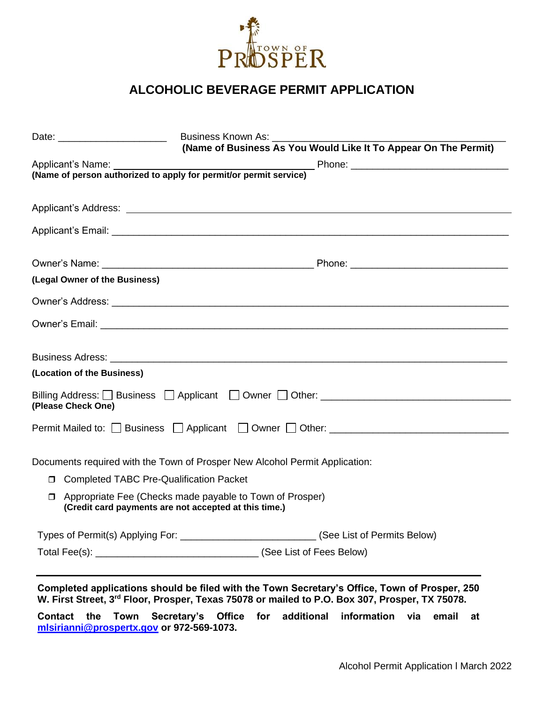

## **ALCOHOLIC BEVERAGE PERMIT APPLICATION**

| Date: __________________________ | <b>Business Known As:</b>                                                                                         |  |
|----------------------------------|-------------------------------------------------------------------------------------------------------------------|--|
|                                  | (Name of Business As You Would Like It To Appear On The Permit)                                                   |  |
|                                  |                                                                                                                   |  |
|                                  |                                                                                                                   |  |
|                                  |                                                                                                                   |  |
|                                  |                                                                                                                   |  |
|                                  |                                                                                                                   |  |
| (Legal Owner of the Business)    |                                                                                                                   |  |
|                                  |                                                                                                                   |  |
|                                  |                                                                                                                   |  |
|                                  |                                                                                                                   |  |
| (Location of the Business)       |                                                                                                                   |  |
| (Please Check One)               | Billing Address: O Business O Applicant O Owner O Other: ________________________                                 |  |
|                                  | Permit Mailed to: Business Applicant Cowner Other: _____________________________                                  |  |
|                                  | Documents required with the Town of Prosper New Alcohol Permit Application:                                       |  |
|                                  | <b>D</b> Completed TABC Pre-Qualification Packet                                                                  |  |
|                                  | Appropriate Fee (Checks made payable to Town of Prosper)<br>(Credit card payments are not accepted at this time.) |  |
|                                  | Types of Permit(s) Applying For: ________________________________(See List of Permits Below)                      |  |
|                                  |                                                                                                                   |  |

**Completed applications should be filed with the Town Secretary's Office, Town of Prosper, 250 W. First Street, 3rd Floor, Prosper, Texas 75078 or mailed to P.O. Box 307, Prosper, TX 75078.**

**Contact the Town Secretary's Office for additional information via email at [mlsirianni@prospertx.gov](mailto:mlsirianni@prospertx.gov) or 972-569-1073.**